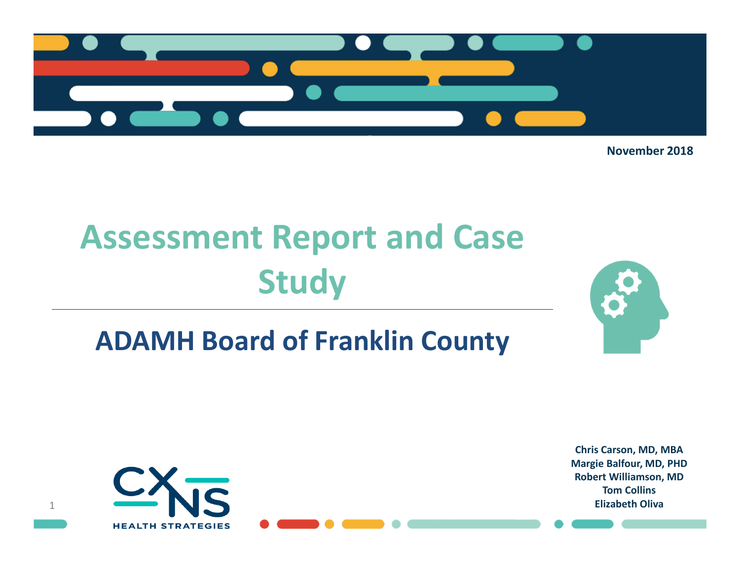

November 2018

# Assessment Report and Case Study

# ADAMH Board of Franklin County





Chris Carson, MD, MBA Margie Balfour, MD, PHD Robert Williamson, MDTom CollinsElizabeth Oliva

1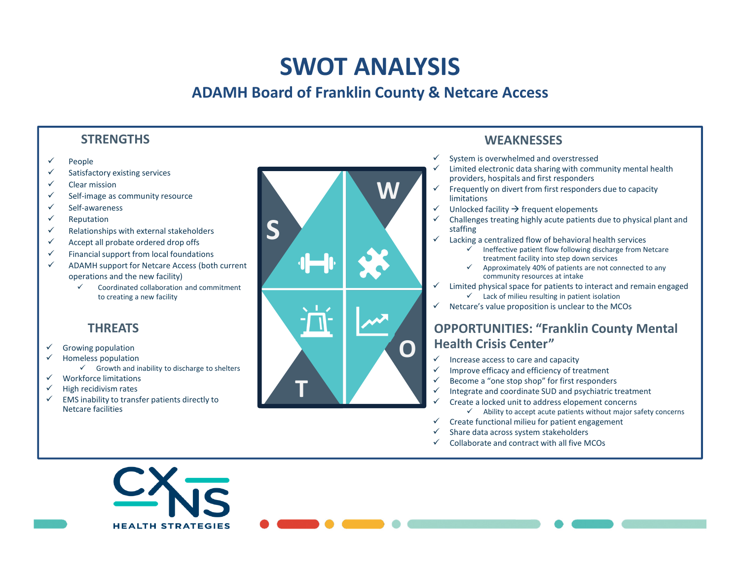# SWOT ANALYSIS

# ADAMH Board of Franklin County & Netcare Access

# **STRENGTHS**

- $\checkmark$ People
- ✓ Satisfactory existing services
- ✓ Clear mission
- ✓ Self-image as community resource
- ✓ Self-awareness
- $\checkmark$ Reputation
- ✓ Relationships with external stakeholders
- $\checkmark$ Accept all probate ordered drop offs
- ✓ Financial support from local foundations
- $\checkmark$  ADAMH support for Netcare Access (both current operations and the new facility)
	- $\checkmark$  Coordinated collaboration and commitment to creating a new facility

### **THRFATS**

- ✓ Growing population
- $\checkmark$  Homeless population
	- $\checkmark$  Growth and inability to discharge to shelters

**HEALTH STRATEGIES** 

- $\checkmark$ Workforce limitations
- $\checkmark$ High recidivism rates
- $\checkmark$  EMS inability to transfer patients directly to Netcare facilities



# **WEAKNESSES**

- System is overwhelmed and overstressed
- Limited electronic data sharing with community mental health providers, hospitals and first responders
- $\checkmark$  Frequently on divert from first responders due to capacity<br>limitations limitations
- $\checkmark$  Unlocked facility  $\hat{\to}$  frequent elopements<br> $\checkmark$  Challenges treating highly acute patients ✓
- Challenges treating highly acute patients due to physical plant and staffing
- $\checkmark$  Lacking a centralized flow of behavioral health services
	- ✓ Ineffective patient flow following discharge from Netcare treatment facility into step down services
	- $\checkmark$  Approximately 40% of patients are not connected to any<br>community resources at intake ✓ community resources at intake
- Imited physical space for patients to interact and remain engaged<br>  $\sim$  Limited physical space for patients in patient isolation  $\checkmark$  Lack of milieu resulting in patient isolation
- Netcare's value proposition is unclear to the MCOs

# OPPORTUNITIES: "Franklin County Mental Health Crisis Center"

- $\checkmark$  Increase access to care and capacity
- Improve efficacy and efficiency of treatment
- Become a "one stop shop" for first responders
- Integrate and coordinate SUD and psychiatric treatment
- Create a locked unit to address elopement concerns
	- $\checkmark$  Ability to accept acute patients without major safety concerns
- ✓ Create functional milieu for patient engagement
- ✓ Share data across system stakeholders
- ✓ Collaborate and contract with all five MCOs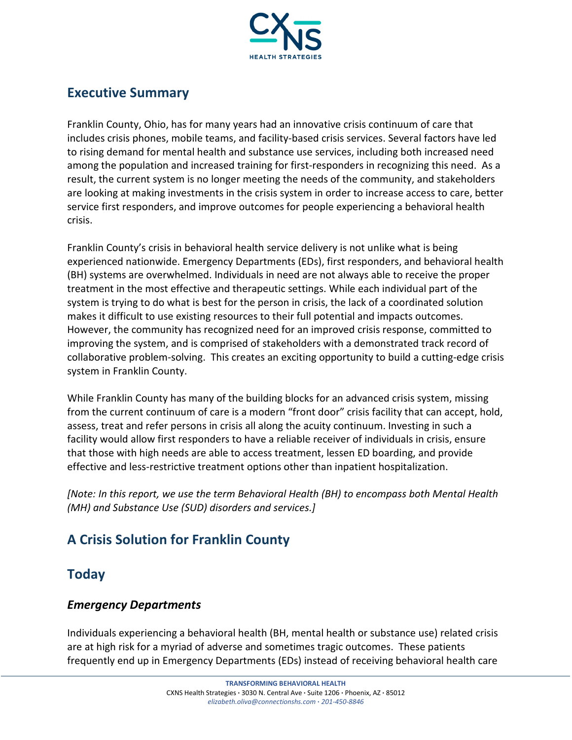

# Executive Summary

Franklin County, Ohio, has for many years had an innovative crisis continuum of care that includes crisis phones, mobile teams, and facility-based crisis services. Several factors have led to rising demand for mental health and substance use services, including both increased need among the population and increased training for first-responders in recognizing this need. As a result, the current system is no longer meeting the needs of the community, and stakeholders are looking at making investments in the crisis system in order to increase access to care, better service first responders, and improve outcomes for people experiencing a behavioral health crisis.

Franklin County's crisis in behavioral health service delivery is not unlike what is being experienced nationwide. Emergency Departments (EDs), first responders, and behavioral health (BH) systems are overwhelmed. Individuals in need are not always able to receive the proper treatment in the most effective and therapeutic settings. While each individual part of the system is trying to do what is best for the person in crisis, the lack of a coordinated solution makes it difficult to use existing resources to their full potential and impacts outcomes. However, the community has recognized need for an improved crisis response, committed to improving the system, and is comprised of stakeholders with a demonstrated track record of collaborative problem-solving. This creates an exciting opportunity to build a cutting-edge crisis system in Franklin County.

While Franklin County has many of the building blocks for an advanced crisis system, missing from the current continuum of care is a modern "front door" crisis facility that can accept, hold, assess, treat and refer persons in crisis all along the acuity continuum. Investing in such a facility would allow first responders to have a reliable receiver of individuals in crisis, ensure that those with high needs are able to access treatment, lessen ED boarding, and provide effective and less-restrictive treatment options other than inpatient hospitalization.

[Note: In this report, we use the term Behavioral Health (BH) to encompass both Mental Health (MH) and Substance Use (SUD) disorders and services.]

# A Crisis Solution for Franklin County

# **Today**

#### Emergency Departments

Individuals experiencing a behavioral health (BH, mental health or substance use) related crisis are at high risk for a myriad of adverse and sometimes tragic outcomes. These patients frequently end up in Emergency Departments (EDs) instead of receiving behavioral health care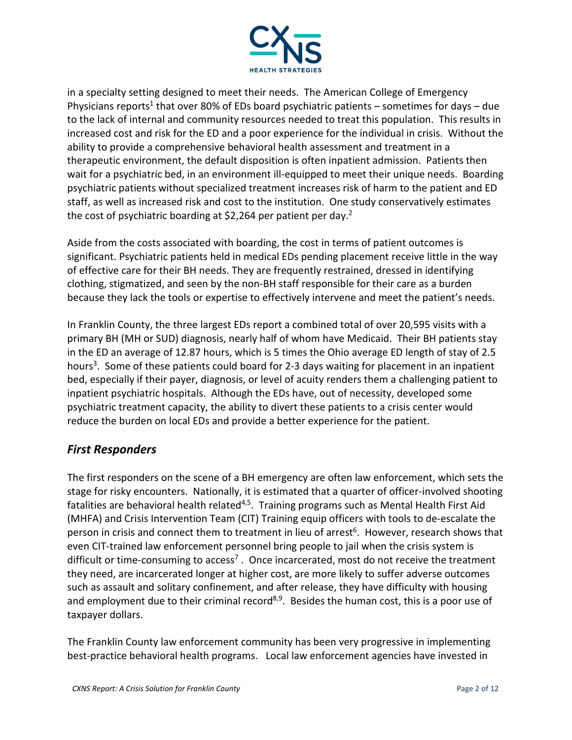

in a specialty setting designed to meet their needs. The American College of Emergency Physicians reports<sup>1</sup> that over 80% of EDs board psychiatric patients – sometimes for days – due to the lack of internal and community resources needed to treat this population. This results in increased cost and risk for the ED and a poor experience for the individual in crisis. Without the ability to provide a comprehensive behavioral health assessment and treatment in a therapeutic environment, the default disposition is often inpatient admission. Patients then wait for a psychiatric bed, in an environment ill-equipped to meet their unique needs. Boarding psychiatric patients without specialized treatment increases risk of harm to the patient and ED staff, as well as increased risk and cost to the institution. One study conservatively estimates the cost of psychiatric boarding at \$2,264 per patient per day.<sup>2</sup>

Aside from the costs associated with boarding, the cost in terms of patient outcomes is significant. Psychiatric patients held in medical EDs pending placement receive little in the way of effective care for their BH needs. They are frequently restrained, dressed in identifying clothing, stigmatized, and seen by the non-BH staff responsible for their care as a burden because they lack the tools or expertise to effectively intervene and meet the patient's needs.

In Franklin County, the three largest EDs report a combined total of over 20,595 visits with a primary BH (MH or SUD) diagnosis, nearly half of whom have Medicaid. Their BH patients stay in the ED an average of 12.87 hours, which is 5 times the Ohio average ED length of stay of 2.5 hours<sup>3</sup>. Some of these patients could board for 2-3 days waiting for placement in an inpatient bed, especially if their payer, diagnosis, or level of acuity renders them a challenging patient to inpatient psychiatric hospitals. Although the EDs have, out of necessity, developed some psychiatric treatment capacity, the ability to divert these patients to a crisis center would reduce the burden on local EDs and provide a better experience for the patient.

#### First Responders

The first responders on the scene of a BH emergency are often law enforcement, which sets the stage for risky encounters. Nationally, it is estimated that a quarter of officer-involved shooting fatalities are behavioral health related<sup>4,5</sup>. Training programs such as Mental Health First Aid (MHFA) and Crisis Intervention Team (CIT) Training equip officers with tools to de-escalate the person in crisis and connect them to treatment in lieu of arrest<sup>6</sup>. However, research shows that even CIT-trained law enforcement personnel bring people to jail when the crisis system is difficult or time-consuming to access<sup>7</sup>. Once incarcerated, most do not receive the treatment they need, are incarcerated longer at higher cost, are more likely to suffer adverse outcomes such as assault and solitary confinement, and after release, they have difficulty with housing and employment due to their criminal record<sup>8,9</sup>. Besides the human cost, this is a poor use of taxpayer dollars.

The Franklin County law enforcement community has been very progressive in implementing best-practice behavioral health programs. Local law enforcement agencies have invested in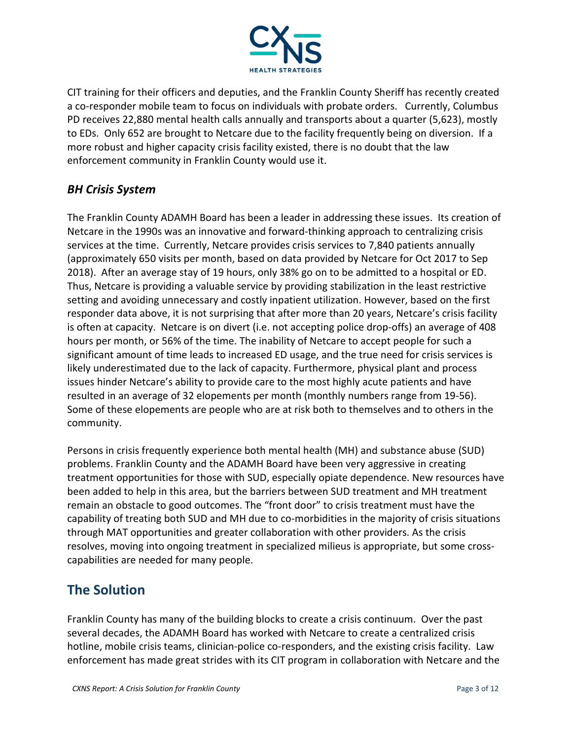

CIT training for their officers and deputies, and the Franklin County Sheriff has recently created a co-responder mobile team to focus on individuals with probate orders. Currently, Columbus PD receives 22,880 mental health calls annually and transports about a quarter (5,623), mostly to EDs. Only 652 are brought to Netcare due to the facility frequently being on diversion. If a more robust and higher capacity crisis facility existed, there is no doubt that the law enforcement community in Franklin County would use it.

#### BH Crisis System

The Franklin County ADAMH Board has been a leader in addressing these issues. Its creation of Netcare in the 1990s was an innovative and forward-thinking approach to centralizing crisis services at the time. Currently, Netcare provides crisis services to 7,840 patients annually (approximately 650 visits per month, based on data provided by Netcare for Oct 2017 to Sep 2018). After an average stay of 19 hours, only 38% go on to be admitted to a hospital or ED. Thus, Netcare is providing a valuable service by providing stabilization in the least restrictive setting and avoiding unnecessary and costly inpatient utilization. However, based on the first responder data above, it is not surprising that after more than 20 years, Netcare's crisis facility is often at capacity. Netcare is on divert (i.e. not accepting police drop-offs) an average of 408 hours per month, or 56% of the time. The inability of Netcare to accept people for such a significant amount of time leads to increased ED usage, and the true need for crisis services is likely underestimated due to the lack of capacity. Furthermore, physical plant and process issues hinder Netcare's ability to provide care to the most highly acute patients and have resulted in an average of 32 elopements per month (monthly numbers range from 19-56). Some of these elopements are people who are at risk both to themselves and to others in the community.

Persons in crisis frequently experience both mental health (MH) and substance abuse (SUD) problems. Franklin County and the ADAMH Board have been very aggressive in creating treatment opportunities for those with SUD, especially opiate dependence. New resources have been added to help in this area, but the barriers between SUD treatment and MH treatment remain an obstacle to good outcomes. The "front door" to crisis treatment must have the capability of treating both SUD and MH due to co-morbidities in the majority of crisis situations through MAT opportunities and greater collaboration with other providers. As the crisis resolves, moving into ongoing treatment in specialized milieus is appropriate, but some crosscapabilities are needed for many people.

# The Solution

Franklin County has many of the building blocks to create a crisis continuum. Over the past several decades, the ADAMH Board has worked with Netcare to create a centralized crisis hotline, mobile crisis teams, clinician-police co-responders, and the existing crisis facility. Law enforcement has made great strides with its CIT program in collaboration with Netcare and the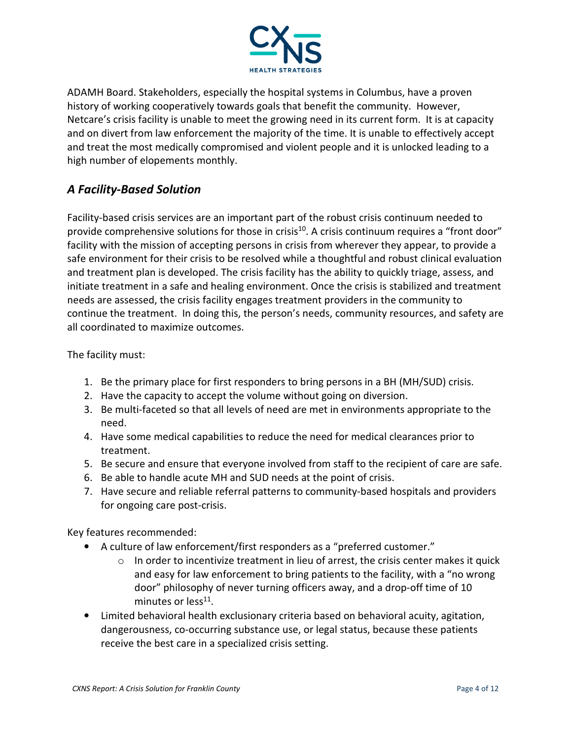

ADAMH Board. Stakeholders, especially the hospital systems in Columbus, have a proven history of working cooperatively towards goals that benefit the community. However, Netcare's crisis facility is unable to meet the growing need in its current form. It is at capacity and on divert from law enforcement the majority of the time. It is unable to effectively accept and treat the most medically compromised and violent people and it is unlocked leading to a high number of elopements monthly.

#### A Facility-Based Solution

Facility-based crisis services are an important part of the robust crisis continuum needed to provide comprehensive solutions for those in crisis<sup>10</sup>. A crisis continuum requires a "front door" facility with the mission of accepting persons in crisis from wherever they appear, to provide a safe environment for their crisis to be resolved while a thoughtful and robust clinical evaluation and treatment plan is developed. The crisis facility has the ability to quickly triage, assess, and initiate treatment in a safe and healing environment. Once the crisis is stabilized and treatment needs are assessed, the crisis facility engages treatment providers in the community to continue the treatment. In doing this, the person's needs, community resources, and safety are all coordinated to maximize outcomes.

The facility must:

- 1. Be the primary place for first responders to bring persons in a BH (MH/SUD) crisis.
- 2. Have the capacity to accept the volume without going on diversion.
- 3. Be multi-faceted so that all levels of need are met in environments appropriate to the need.
- 4. Have some medical capabilities to reduce the need for medical clearances prior to treatment.
- 5. Be secure and ensure that everyone involved from staff to the recipient of care are safe.
- 6. Be able to handle acute MH and SUD needs at the point of crisis.
- 7. Have secure and reliable referral patterns to community-based hospitals and providers for ongoing care post-crisis.

Key features recommended:

- A culture of law enforcement/first responders as a "preferred customer."
	- $\circ$  In order to incentivize treatment in lieu of arrest, the crisis center makes it quick and easy for law enforcement to bring patients to the facility, with a "no wrong door" philosophy of never turning officers away, and a drop-off time of 10 minutes or less<sup>11</sup>.
- Limited behavioral health exclusionary criteria based on behavioral acuity, agitation, dangerousness, co-occurring substance use, or legal status, because these patients receive the best care in a specialized crisis setting.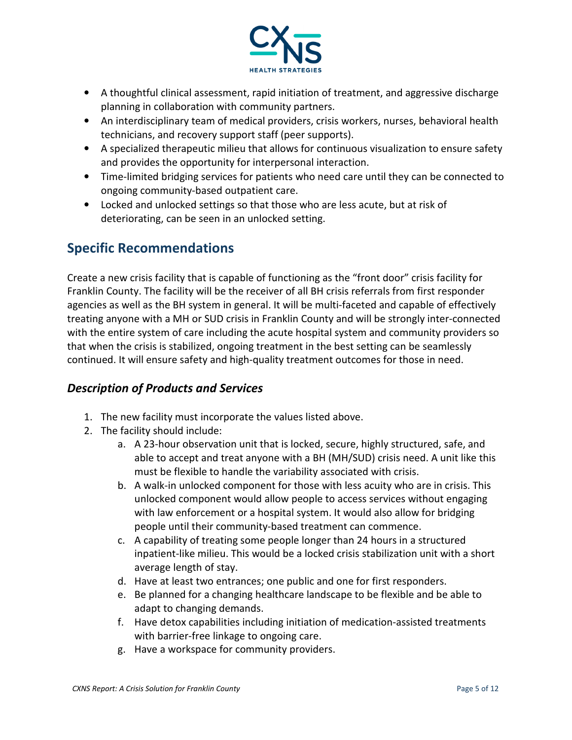

- A thoughtful clinical assessment, rapid initiation of treatment, and aggressive discharge planning in collaboration with community partners.
- An interdisciplinary team of medical providers, crisis workers, nurses, behavioral health technicians, and recovery support staff (peer supports).
- A specialized therapeutic milieu that allows for continuous visualization to ensure safety and provides the opportunity for interpersonal interaction.
- Time-limited bridging services for patients who need care until they can be connected to ongoing community-based outpatient care.
- Locked and unlocked settings so that those who are less acute, but at risk of deteriorating, can be seen in an unlocked setting.

# Specific Recommendations

Create a new crisis facility that is capable of functioning as the "front door" crisis facility for Franklin County. The facility will be the receiver of all BH crisis referrals from first responder agencies as well as the BH system in general. It will be multi-faceted and capable of effectively treating anyone with a MH or SUD crisis in Franklin County and will be strongly inter-connected with the entire system of care including the acute hospital system and community providers so that when the crisis is stabilized, ongoing treatment in the best setting can be seamlessly continued. It will ensure safety and high-quality treatment outcomes for those in need.

#### Description of Products and Services

- 1. The new facility must incorporate the values listed above.
- 2. The facility should include:
	- a. A 23-hour observation unit that is locked, secure, highly structured, safe, and able to accept and treat anyone with a BH (MH/SUD) crisis need. A unit like this must be flexible to handle the variability associated with crisis.
	- b. A walk-in unlocked component for those with less acuity who are in crisis. This unlocked component would allow people to access services without engaging with law enforcement or a hospital system. It would also allow for bridging people until their community-based treatment can commence.
	- c. A capability of treating some people longer than 24 hours in a structured inpatient-like milieu. This would be a locked crisis stabilization unit with a short average length of stay.
	- d. Have at least two entrances; one public and one for first responders.
	- e. Be planned for a changing healthcare landscape to be flexible and be able to adapt to changing demands.
	- f. Have detox capabilities including initiation of medication-assisted treatments with barrier-free linkage to ongoing care.
	- g. Have a workspace for community providers.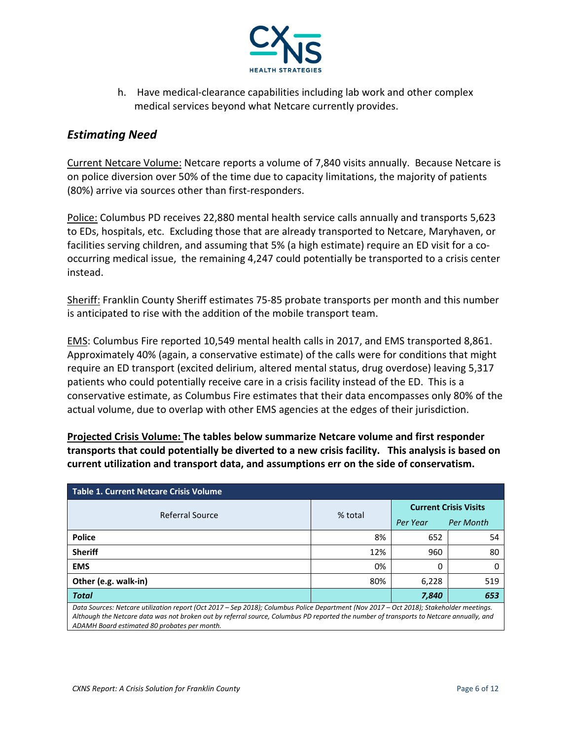

h. Have medical-clearance capabilities including lab work and other complex medical services beyond what Netcare currently provides.

#### Estimating Need

Current Netcare Volume: Netcare reports a volume of 7,840 visits annually. Because Netcare is on police diversion over 50% of the time due to capacity limitations, the majority of patients (80%) arrive via sources other than first-responders.

Police: Columbus PD receives 22,880 mental health service calls annually and transports 5,623 to EDs, hospitals, etc. Excluding those that are already transported to Netcare, Maryhaven, or facilities serving children, and assuming that 5% (a high estimate) require an ED visit for a cooccurring medical issue, the remaining 4,247 could potentially be transported to a crisis center instead.

Sheriff: Franklin County Sheriff estimates 75-85 probate transports per month and this number is anticipated to rise with the addition of the mobile transport team.

EMS: Columbus Fire reported 10,549 mental health calls in 2017, and EMS transported 8,861. Approximately 40% (again, a conservative estimate) of the calls were for conditions that might require an ED transport (excited delirium, altered mental status, drug overdose) leaving 5,317 patients who could potentially receive care in a crisis facility instead of the ED. This is a conservative estimate, as Columbus Fire estimates that their data encompasses only 80% of the actual volume, due to overlap with other EMS agencies at the edges of their jurisdiction.

Projected Crisis Volume: The tables below summarize Netcare volume and first responder transports that could potentially be diverted to a new crisis facility. This analysis is based on current utilization and transport data, and assumptions err on the side of conservatism.

| Table 1. Current Netcare Crisis Volume                                                                                                                                                                                                                                                                                             |         |                              |                  |  |
|------------------------------------------------------------------------------------------------------------------------------------------------------------------------------------------------------------------------------------------------------------------------------------------------------------------------------------|---------|------------------------------|------------------|--|
| Referral Source                                                                                                                                                                                                                                                                                                                    |         | <b>Current Crisis Visits</b> |                  |  |
|                                                                                                                                                                                                                                                                                                                                    | % total | Per Year                     | <b>Per Month</b> |  |
| <b>Police</b>                                                                                                                                                                                                                                                                                                                      | 8%      | 652                          | 54               |  |
| <b>Sheriff</b>                                                                                                                                                                                                                                                                                                                     | 12%     | 960                          | 80               |  |
| <b>EMS</b>                                                                                                                                                                                                                                                                                                                         | 0%      |                              |                  |  |
| Other (e.g. walk-in)                                                                                                                                                                                                                                                                                                               | 80%     | 6,228                        | 519              |  |
| <b>Total</b>                                                                                                                                                                                                                                                                                                                       |         | 7,840                        | 653              |  |
| Data Sources: Netcare utilization report (Oct 2017 – Sep 2018); Columbus Police Department (Nov 2017 – Oct 2018); Stakeholder meetings.<br>Although the Netcare data was not broken out by referral source, Columbus PD reported the number of transports to Netcare annually, and<br>ADAMH Board estimated 80 probates per month. |         |                              |                  |  |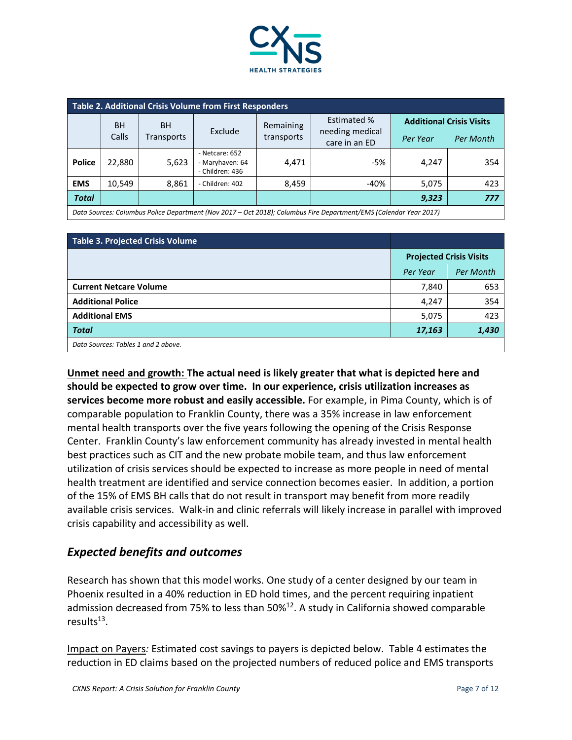

| Table 2. Additional Crisis Volume from First Responders |           |            |                                                      |            |                                  |                                 |                  |
|---------------------------------------------------------|-----------|------------|------------------------------------------------------|------------|----------------------------------|---------------------------------|------------------|
|                                                         | <b>BH</b> | <b>BH</b>  |                                                      | Remaining  | <b>Estimated %</b>               | <b>Additional Crisis Visits</b> |                  |
|                                                         | Calls     | Transports | Exclude                                              | transports | needing medical<br>care in an ED | Per Year                        | <b>Per Month</b> |
| <b>Police</b>                                           | 22,880    | 5,623      | - Netcare: 652<br>- Maryhaven: 64<br>- Children: 436 | 4,471      | -5%                              | 4,247                           | 354              |
| <b>EMS</b>                                              | 10,549    | 8,861      | - Children: 402                                      | 8,459      | $-40%$                           | 5,075                           | 423              |
| <b>Total</b>                                            |           |            |                                                      |            |                                  | 9,323                           | 777              |

Data Sources: Columbus Police Department (Nov 2017 – Oct 2018); Columbus Fire Department/EMS (Calendar Year 2017)

| Table 3. Projected Crisis Volume    |                                |           |
|-------------------------------------|--------------------------------|-----------|
|                                     | <b>Projected Crisis Visits</b> |           |
|                                     | Per Year                       | Per Month |
| <b>Current Netcare Volume</b>       | 7,840                          | 653       |
| <b>Additional Police</b>            | 4,247                          | 354       |
| <b>Additional EMS</b>               | 5,075                          | 423       |
| <b>Total</b>                        | 17,163                         | 1,430     |
| Data Sources: Tables 1 and 2 above. |                                |           |

Unmet need and growth: The actual need is likely greater that what is depicted here and should be expected to grow over time. In our experience, crisis utilization increases as services become more robust and easily accessible. For example, in Pima County, which is of comparable population to Franklin County, there was a 35% increase in law enforcement mental health transports over the five years following the opening of the Crisis Response Center. Franklin County's law enforcement community has already invested in mental health best practices such as CIT and the new probate mobile team, and thus law enforcement utilization of crisis services should be expected to increase as more people in need of mental health treatment are identified and service connection becomes easier. In addition, a portion of the 15% of EMS BH calls that do not result in transport may benefit from more readily available crisis services. Walk-in and clinic referrals will likely increase in parallel with improved crisis capability and accessibility as well.

#### Expected benefits and outcomes

Research has shown that this model works. One study of a center designed by our team in Phoenix resulted in a 40% reduction in ED hold times, and the percent requiring inpatient admission decreased from 75% to less than 50%<sup>12</sup>. A study in California showed comparable results<sup>13</sup>.

Impact on Payers: Estimated cost savings to payers is depicted below. Table 4 estimates the reduction in ED claims based on the projected numbers of reduced police and EMS transports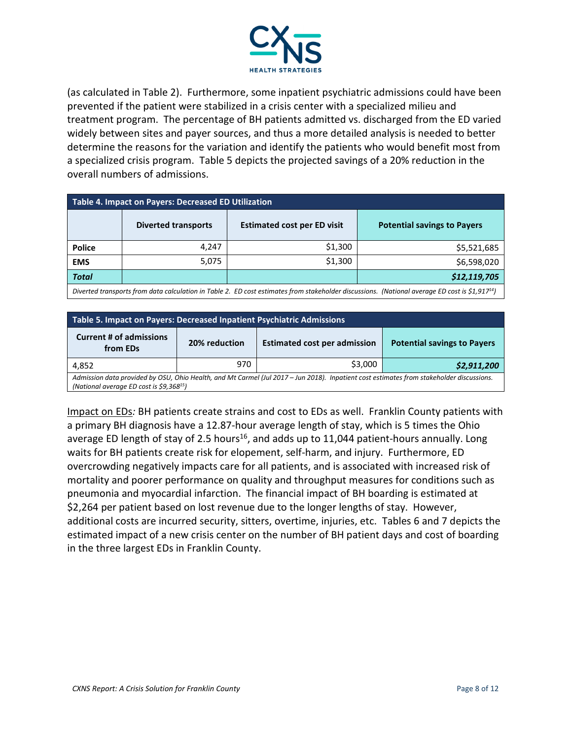

(as calculated in Table 2). Furthermore, some inpatient psychiatric admissions could have been prevented if the patient were stabilized in a crisis center with a specialized milieu and treatment program. The percentage of BH patients admitted vs. discharged from the ED varied widely between sites and payer sources, and thus a more detailed analysis is needed to better determine the reasons for the variation and identify the patients who would benefit most from a specialized crisis program. Table 5 depicts the projected savings of a 20% reduction in the overall numbers of admissions.

| Table 4. Impact on Payers: Decreased ED Utilization                                                                                                        |                            |                                    |                                    |  |
|------------------------------------------------------------------------------------------------------------------------------------------------------------|----------------------------|------------------------------------|------------------------------------|--|
|                                                                                                                                                            | <b>Diverted transports</b> | <b>Estimated cost per ED visit</b> | <b>Potential savings to Payers</b> |  |
| <b>Police</b>                                                                                                                                              | 4.247                      | \$1,300                            | \$5,521,685                        |  |
| <b>EMS</b>                                                                                                                                                 | 5,075                      | \$1,300                            | \$6,598,020                        |  |
| <b>Total</b>                                                                                                                                               |                            |                                    | \$12,119,705                       |  |
| Diverted transports from data calculation in Table 2. ED cost estimates from stakeholder discussions. (National average ED cost is \$1,917 <sup>14</sup> ) |                            |                                    |                                    |  |

| Table 5. Impact on Payers: Decreased Inpatient Psychiatric Admissions                                                                                                               |               |                                     |                                    |
|-------------------------------------------------------------------------------------------------------------------------------------------------------------------------------------|---------------|-------------------------------------|------------------------------------|
| <b>Current # of admissions</b><br>from EDs                                                                                                                                          | 20% reduction | <b>Estimated cost per admission</b> | <b>Potential savings to Payers</b> |
| 4,852                                                                                                                                                                               | 970           | \$3,000                             | \$2,911,200                        |
| Admission data provided by OSU, Ohio Health, and Mt Carmel (Jul 2017 - Jun 2018). Inpatient cost estimates from stakeholder discussions.<br>(National average ED cost is \$9,36815) |               |                                     |                                    |

Impact on EDs: BH patients create strains and cost to EDs as well. Franklin County patients with a primary BH diagnosis have a 12.87-hour average length of stay, which is 5 times the Ohio average ED length of stay of 2.5 hours<sup>16</sup>, and adds up to 11,044 patient-hours annually. Long waits for BH patients create risk for elopement, self-harm, and injury. Furthermore, ED overcrowding negatively impacts care for all patients, and is associated with increased risk of mortality and poorer performance on quality and throughput measures for conditions such as pneumonia and myocardial infarction. The financial impact of BH boarding is estimated at \$2,264 per patient based on lost revenue due to the longer lengths of stay. However, additional costs are incurred security, sitters, overtime, injuries, etc. Tables 6 and 7 depicts the estimated impact of a new crisis center on the number of BH patient days and cost of boarding in the three largest EDs in Franklin County.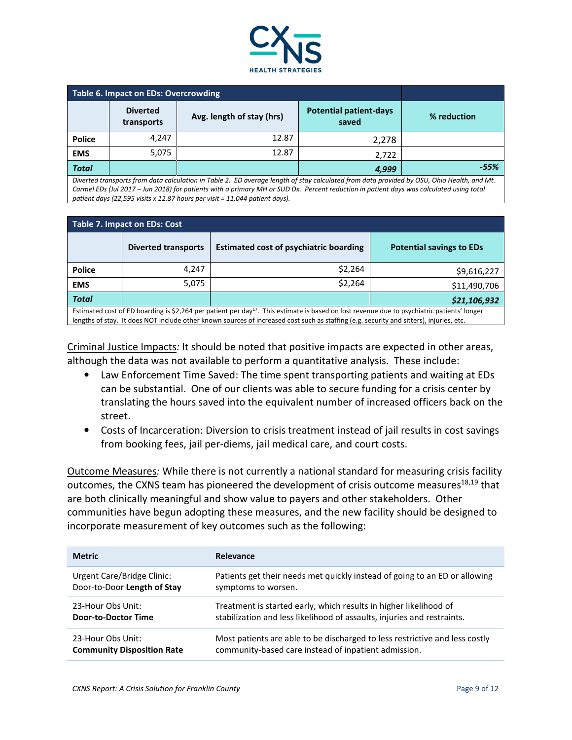

| Table 6. Impact on EDs: Overcrowding |                               |                           |                                        |             |
|--------------------------------------|-------------------------------|---------------------------|----------------------------------------|-------------|
|                                      | <b>Diverted</b><br>transports | Avg. length of stay (hrs) | <b>Potential patient-days</b><br>saved | % reduction |
| <b>Police</b>                        | 4.247                         | 12.87                     | 2,278                                  |             |
| <b>EMS</b>                           | 5,075                         | 12.87                     | 2.722                                  |             |
| <b>Total</b>                         |                               |                           | 4,999                                  | $-55%$      |

Diverted transports from data calculation in Table 2. ED average length of stay calculated from data provided by OSU, Ohio Health, and Mt. Carmel EDs (Jul 2017 – Jun 2018) for patients with a primary MH or SUD Dx. Percent reduction in patient days was calculated using total patient days (22,595 visits x 12.87 hours per visit = 11,044 patient days).

| <b>Table 7. Impact on EDs: Cost</b>                                                                                                                                                                                                                                                                |                            |                                               |                                 |  |
|----------------------------------------------------------------------------------------------------------------------------------------------------------------------------------------------------------------------------------------------------------------------------------------------------|----------------------------|-----------------------------------------------|---------------------------------|--|
|                                                                                                                                                                                                                                                                                                    | <b>Diverted transports</b> | <b>Estimated cost of psychiatric boarding</b> | <b>Potential savings to EDs</b> |  |
| <b>Police</b>                                                                                                                                                                                                                                                                                      | 4.247                      | \$2,264                                       | \$9,616,227                     |  |
| <b>EMS</b>                                                                                                                                                                                                                                                                                         | 5,075                      | \$2,264                                       | \$11,490,706                    |  |
| <b>Total</b>                                                                                                                                                                                                                                                                                       |                            |                                               | \$21,106,932                    |  |
| Estimated cost of ED boarding is \$2,264 per patient per day <sup>17</sup> . This estimate is based on lost revenue due to psychiatric patients' longer<br>lengths of stay. It does NOT include other known sources of increased cost such as staffing (e.g. security and sitters), injuries, etc. |                            |                                               |                                 |  |

Criminal Justice Impacts: It should be noted that positive impacts are expected in other areas, although the data was not available to perform a quantitative analysis. These include:

- Law Enforcement Time Saved: The time spent transporting patients and waiting at EDs can be substantial. One of our clients was able to secure funding for a crisis center by translating the hours saved into the equivalent number of increased officers back on the street.
- Costs of Incarceration: Diversion to crisis treatment instead of jail results in cost savings from booking fees, jail per-diems, jail medical care, and court costs.

Outcome Measures: While there is not currently a national standard for measuring crisis facility outcomes, the CXNS team has pioneered the development of crisis outcome measures $^{18,19}$  that are both clinically meaningful and show value to payers and other stakeholders. Other communities have begun adopting these measures, and the new facility should be designed to incorporate measurement of key outcomes such as the following:

| <b>Metric</b>                     | <b>Relevance</b>                                                            |
|-----------------------------------|-----------------------------------------------------------------------------|
| Urgent Care/Bridge Clinic:        | Patients get their needs met quickly instead of going to an ED or allowing  |
| Door-to-Door Length of Stay       | symptoms to worsen.                                                         |
| 23-Hour Obs Unit:                 | Treatment is started early, which results in higher likelihood of           |
| <b>Door-to-Doctor Time</b>        | stabilization and less likelihood of assaults, injuries and restraints.     |
| 23-Hour Obs Unit:                 | Most patients are able to be discharged to less restrictive and less costly |
| <b>Community Disposition Rate</b> | community-based care instead of inpatient admission.                        |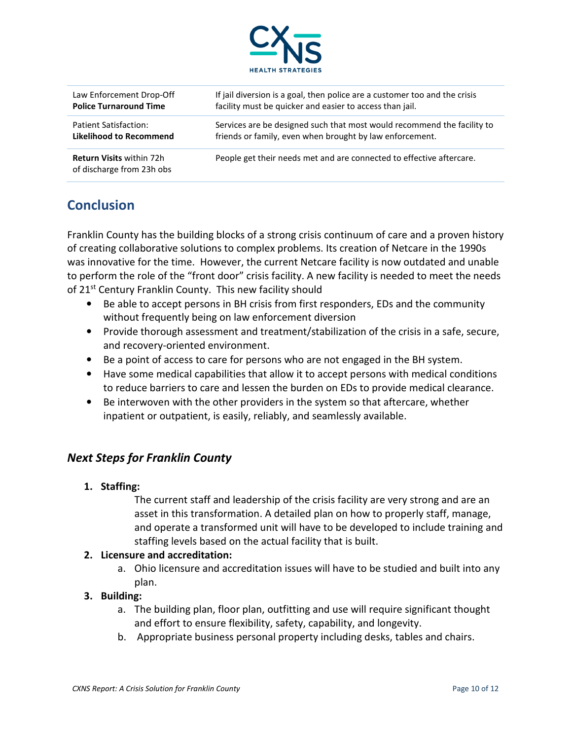

| Law Enforcement Drop-Off                                     | If jail diversion is a goal, then police are a customer too and the crisis |
|--------------------------------------------------------------|----------------------------------------------------------------------------|
| <b>Police Turnaround Time</b>                                | facility must be quicker and easier to access than jail.                   |
| Patient Satisfaction:                                        | Services are be designed such that most would recommend the facility to    |
| <b>Likelihood to Recommend</b>                               | friends or family, even when brought by law enforcement.                   |
| <b>Return Visits within 72h</b><br>of discharge from 23h obs | People get their needs met and are connected to effective aftercare.       |

# **Conclusion**

Franklin County has the building blocks of a strong crisis continuum of care and a proven history of creating collaborative solutions to complex problems. Its creation of Netcare in the 1990s was innovative for the time. However, the current Netcare facility is now outdated and unable to perform the role of the "front door" crisis facility. A new facility is needed to meet the needs of 21<sup>st</sup> Century Franklin County. This new facility should

- Be able to accept persons in BH crisis from first responders, EDs and the community without frequently being on law enforcement diversion
- Provide thorough assessment and treatment/stabilization of the crisis in a safe, secure, and recovery-oriented environment.
- Be a point of access to care for persons who are not engaged in the BH system.
- Have some medical capabilities that allow it to accept persons with medical conditions to reduce barriers to care and lessen the burden on EDs to provide medical clearance.
- Be interwoven with the other providers in the system so that aftercare, whether inpatient or outpatient, is easily, reliably, and seamlessly available.

#### Next Steps for Franklin County

#### 1. Staffing:

The current staff and leadership of the crisis facility are very strong and are an asset in this transformation. A detailed plan on how to properly staff, manage, and operate a transformed unit will have to be developed to include training and staffing levels based on the actual facility that is built.

#### 2. Licensure and accreditation:

a. Ohio licensure and accreditation issues will have to be studied and built into any plan.

#### 3. Building:

- a. The building plan, floor plan, outfitting and use will require significant thought and effort to ensure flexibility, safety, capability, and longevity.
- b. Appropriate business personal property including desks, tables and chairs.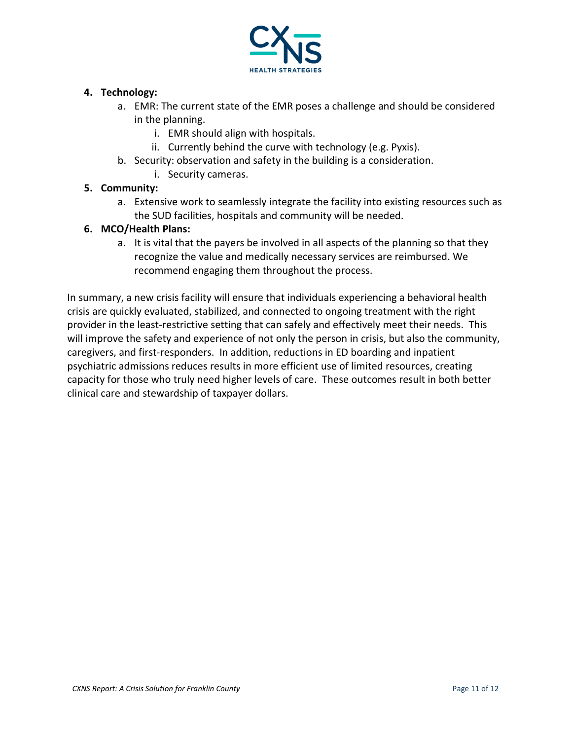

#### 4. Technology:

- a. EMR: The current state of the EMR poses a challenge and should be considered in the planning.
	- i. EMR should align with hospitals.
	- ii. Currently behind the curve with technology (e.g. Pyxis).
- b. Security: observation and safety in the building is a consideration.
	- i. Security cameras.

#### 5. Community:

a. Extensive work to seamlessly integrate the facility into existing resources such as the SUD facilities, hospitals and community will be needed.

#### 6. MCO/Health Plans:

a. It is vital that the payers be involved in all aspects of the planning so that they recognize the value and medically necessary services are reimbursed. We recommend engaging them throughout the process.

In summary, a new crisis facility will ensure that individuals experiencing a behavioral health crisis are quickly evaluated, stabilized, and connected to ongoing treatment with the right provider in the least-restrictive setting that can safely and effectively meet their needs. This will improve the safety and experience of not only the person in crisis, but also the community, caregivers, and first-responders. In addition, reductions in ED boarding and inpatient psychiatric admissions reduces results in more efficient use of limited resources, creating capacity for those who truly need higher levels of care. These outcomes result in both better clinical care and stewardship of taxpayer dollars.